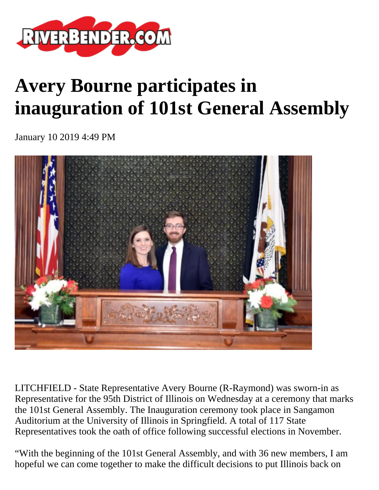

## **Avery Bourne participates in inauguration of 101st General Assembly**

January 10 2019 4:49 PM



LITCHFIELD - State Representative Avery Bourne (R-Raymond) was sworn-in as Representative for the 95th District of Illinois on Wednesday at a ceremony that marks the 101st General Assembly. The Inauguration ceremony took place in Sangamon Auditorium at the University of Illinois in Springfield. A total of 117 State Representatives took the oath of office following successful elections in November.

"With the beginning of the 101st General Assembly, and with 36 new members, I am hopeful we can come together to make the difficult decisions to put Illinois back on